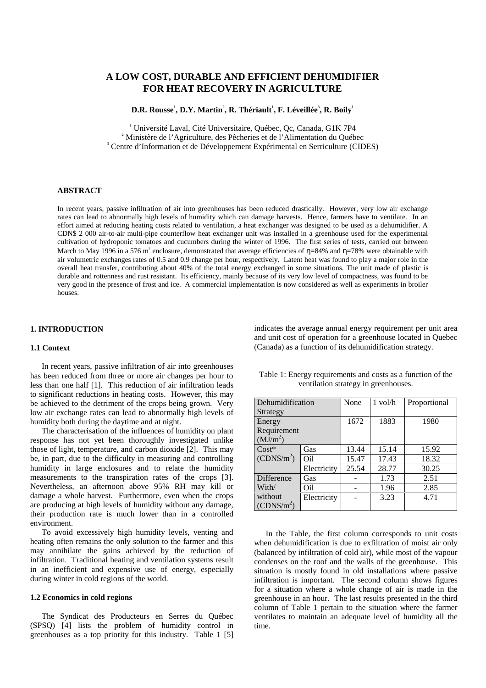# **A LOW COST, DURABLE AND EFFICIENT DEHUMIDIFIER FOR HEAT RECOVERY IN AGRICULTURE**

 $\mathbf{D}.\mathbf{R}.$  Rousse $^1, \mathbf{D}.\mathbf{Y}.$  Martin $^2, \mathbf{R}.$  Thériault $^1, \mathbf{F}.$  Léveillée $^3, \mathbf{R}.$  Boily $^1$ 

<sup>1</sup> Université Laval, Cité Universitaire, Québec, Qc, Canada, G1K 7P4 <sup>2</sup> Ministère de l'Agriculture, des Pêcheries et de l'Alimentation du Québec Centre d'Information et de Développement Expérimental en Serriculture (CIDES)

### **ABSTRACT**

In recent years, passive infiltration of air into greenhouses has been reduced drastically. However, very low air exchange rates can lead to abnormally high levels of humidity which can damage harvests. Hence, farmers have to ventilate. In an effort aimed at reducing heating costs related to ventilation, a heat exchanger was designed to be used as a dehumidifier. A CDN\$ 2 000 air-to-air multi-pipe counterflow heat exchanger unit was installed in a greenhouse used for the experimental cultivation of hydroponic tomatoes and cucumbers during the winter of 1996. The first series of tests, carried out between March to May 1996 in a 576 m<sup>3</sup> enclosure, demonstrated that average efficiencies of  $\eta$ =84% and  $\eta$ =78% were obtainable with air volumetric exchanges rates of 0.5 and 0.9 change per hour, respectively. Latent heat was found to play a major role in the overall heat transfer, contributing about 40% of the total energy exchanged in some situations. The unit made of plastic is durable and rottenness and rust resistant. Its efficiency, mainly because of its very low level of compactness, was found to be very good in the presence of frost and ice. A commercial implementation is now considered as well as experiments in broiler houses.

# **1. INTRODUCTION**

### **1.1 Context**

In recent years, passive infiltration of air into greenhouses has been reduced from three or more air changes per hour to less than one half [1]. This reduction of air infiltration leads to significant reductions in heating costs. However, this may be achieved to the detriment of the crops being grown. Very low air exchange rates can lead to abnormally high levels of humidity both during the daytime and at night.

The characterisation of the influences of humidity on plant response has not yet been thoroughly investigated unlike those of light, temperature, and carbon dioxide [2]. This may be, in part, due to the difficulty in measuring and controlling humidity in large enclosures and to relate the humidity measurements to the transpiration rates of the crops [3]. Nevertheless, an afternoon above 95% RH may kill or damage a whole harvest. Furthermore, even when the crops are producing at high levels of humidity without any damage, their production rate is much lower than in a controlled environment.

To avoid excessively high humidity levels, venting and heating often remains the only solution to the farmer and this may annihilate the gains achieved by the reduction of infiltration. Traditional heating and ventilation systems result in an inefficient and expensive use of energy, especially during winter in cold regions of the world.

#### **1.2 Economics in cold regions**

The Syndicat des Producteurs en Serres du Québec (SPSQ) [4] lists the problem of humidity control in greenhouses as a top priority for this industry. Table 1 [5] indicates the average annual energy requirement per unit area and unit cost of operation for a greenhouse located in Quebec (Canada) as a function of its dehumidification strategy.

| Dehumidification     |             | None  | $1$ vol/h | Proportional |
|----------------------|-------------|-------|-----------|--------------|
| Strategy             |             |       |           |              |
| Energy               |             | 1672  | 1883      | 1980         |
| Requirement          |             |       |           |              |
| (MJ/m <sup>2</sup> ) |             |       |           |              |
| $Cost*$              | Gas         | 13.44 | 15.14     | 15.92        |
| $(CDN\$/m^2)$        | Oil         | 15.47 | 17.43     | 18.32        |
|                      | Electricity | 25.54 | 28.77     | 30.25        |
| Difference           | Gas         |       | 1.73      | 2.51         |
| With/                | Oil         |       | 1.96      | 2.85         |
| without              | Electricity |       | 3.23      | 4.71         |
| $(CDN\$/m^2)$        |             |       |           |              |

Table 1: Energy requirements and costs as a function of the ventilation strategy in greenhouses.

In the Table, the first column corresponds to unit costs when dehumidification is due to exfiltration of moist air only (balanced by infiltration of cold air), while most of the vapour condenses on the roof and the walls of the greenhouse. This situation is mostly found in old installations where passive infiltration is important. The second column shows figures for a situation where a whole change of air is made in the greenhouse in an hour. The last results presented in the third column of Table 1 pertain to the situation where the farmer ventilates to maintain an adequate level of humidity all the time.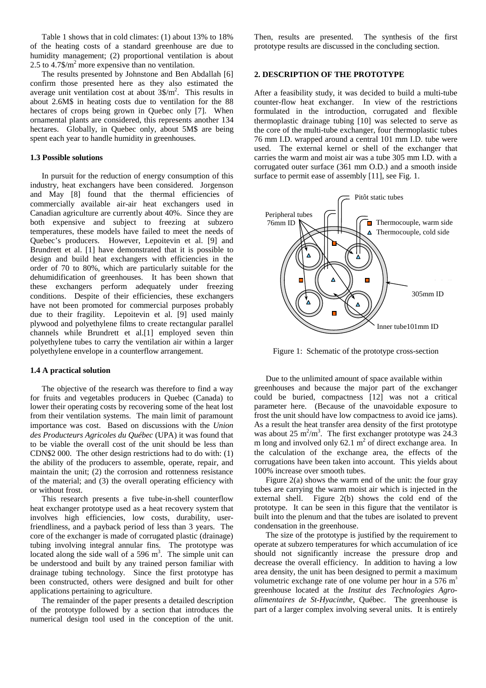Table 1 shows that in cold climates: (1) about 13% to 18% of the heating costs of a standard greenhouse are due to humidity management; (2) proportional ventilation is about 2.5 to  $4.7\$/m^2$  more expensive than no ventilation.

The results presented by Johnstone and Ben Abdallah [6] confirm those presented here as they also estimated the average unit ventilation cost at about  $3\frac{1}{3}$ . This results in about 2.6M\$ in heating costs due to ventilation for the 88 hectares of crops being grown in Quebec only [7]. When ornamental plants are considered, this represents another 134 hectares. Globally, in Quebec only, about 5M\$ are being spent each year to handle humidity in greenhouses.

#### **1.3 Possible solutions**

In pursuit for the reduction of energy consumption of this industry, heat exchangers have been considered. Jorgenson and May [8] found that the thermal efficiencies of commercially available air-air heat exchangers used in Canadian agriculture are currently about 40%. Since they are both expensive and subject to freezing at subzero temperatures, these models have failed to meet the needs of Quebec's producers. However, Lepoitevin et al. [9] and Brundrett et al. [1] have demonstrated that it is possible to design and build heat exchangers with efficiencies in the order of 70 to 80%, which are particularly suitable for the dehumidification of greenhouses. It has been shown that these exchangers perform adequately under freezing conditions. Despite of their efficiencies, these exchangers have not been promoted for commercial purposes probably due to their fragility. Lepoitevin et al. [9] used mainly plywood and polyethylene films to create rectangular parallel channels while Brundrett et al.[1] employed seven thin polyethylene tubes to carry the ventilation air within a larger polyethylene envelope in a counterflow arrangement.

### **1.4 A practical solution**

The objective of the research was therefore to find a way for fruits and vegetables producers in Quebec (Canada) to lower their operating costs by recovering some of the heat lost from their ventilation systems. The main limit of paramount importance was cost. Based on discussions with the *Union des Producteurs Agricoles du Québec* (UPA) it was found that to be viable the overall cost of the unit should be less than CDN\$2 000. The other design restrictions had to do with: (1) the ability of the producers to assemble, operate, repair, and maintain the unit; (2) the corrosion and rottenness resistance of the material; and (3) the overall operating efficiency with or without frost.

This research presents a five tube-in-shell counterflow heat exchanger prototype used as a heat recovery system that involves high efficiencies, low costs, durability, userfriendliness, and a payback period of less than 3 years. The core of the exchanger is made of corrugated plastic (drainage) tubing involving integral annular fins. The prototype was located along the side wall of a  $596 \text{ m}^3$ . The simple unit can be understood and built by any trained person familiar with drainage tubing technology. Since the first prototype has been constructed, others were designed and built for other applications pertaining to agriculture.

The remainder of the paper presents a detailed description of the prototype followed by a section that introduces the numerical design tool used in the conception of the unit.

Then, results are presented. The synthesis of the first prototype results are discussed in the concluding section.

### **2. DESCRIPTION OF THE PROTOTYPE**

After a feasibility study, it was decided to build a multi-tube counter-flow heat exchanger. In view of the restrictions formulated in the introduction, corrugated and flexible thermoplastic drainage tubing [10] was selected to serve as the core of the multi-tube exchanger, four thermoplastic tubes 76 mm I.D. wrapped around a central 101 mm I.D. tube were used. The external kernel or shell of the exchanger that carries the warm and moist air was a tube 305 mm I.D. with a corrugated outer surface (361 mm O.D.) and a smooth inside surface to permit ease of assembly [11], see Fig. 1.



Figure 1: Schematic of the prototype cross-section

Due to the unlimited amount of space available within greenhouses and because the major part of the exchanger could be buried, compactness [12] was not a critical parameter here. (Because of the unavoidable exposure to frost the unit should have low compactness to avoid ice jams). As a result the heat transfer area density of the first prototype was about 25  $m^2/m^3$ . The first exchanger prototype was 24.3 m long and involved only  $62.1 \text{ m}^2$  of direct exchange area. In the calculation of the exchange area, the effects of the corrugations have been taken into account. This yields about 100% increase over smooth tubes.

Figure  $2(a)$  shows the warm end of the unit: the four gray tubes are carrying the warm moist air which is injected in the external shell. Figure 2(b) shows the cold end of the prototype. It can be seen in this figure that the ventilator is built into the plenum and that the tubes are isolated to prevent condensation in the greenhouse.

The size of the prototype is justified by the requirement to operate at subzero temperatures for which accumulation of ice should not significantly increase the pressure drop and decrease the overall efficiency. In addition to having a low area density, the unit has been designed to permit a maximum volumetric exchange rate of one volume per hour in a  $576 \text{ m}^3$ greenhouse located at the *Institut des Technologies Agroalimentaires de St-Hyacinthe*, Québec. The greenhouse is part of a larger complex involving several units. It is entirely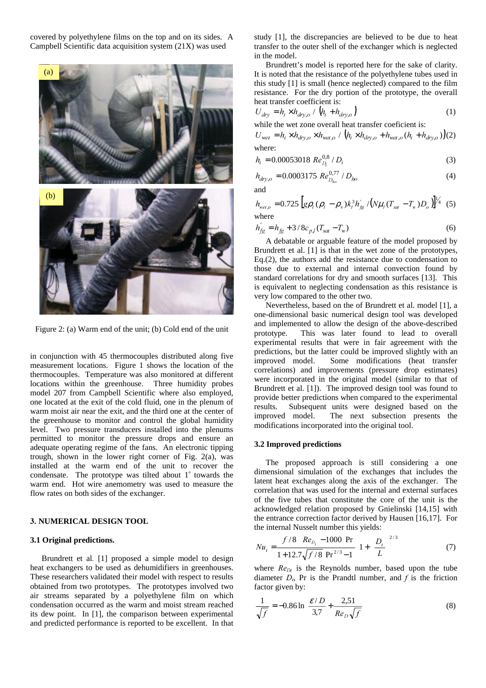covered by polyethylene films on the top and on its sides. A Campbell Scientific data acquisition system (21X) was used



Figure 2: (a) Warm end of the unit; (b) Cold end of the unit

in conjunction with 45 thermocouples distributed along five measurement locations. Figure 1 shows the location of the thermocouples. Temperature was also monitored at different locations within the greenhouse. Three humidity probes model 207 from Campbell Scientific where also employed, one located at the exit of the cold fluid, one in the plenum of warm moist air near the exit, and the third one at the center of the greenhouse to monitor and control the global humidity level. Two pressure transducers installed into the plenums permitted to monitor the pressure drops and ensure an adequate operating regime of the fans. An electronic tipping trough, shown in the lower right corner of Fig. 2(a), was installed at the warm end of the unit to recover the condensate. The prototype was tilted about  $1^\circ$  towards the warm end. Hot wire anemometry was used to measure the flow rates on both sides of the exchanger.

### **3. NUMERICAL DESIGN TOOL**

# **3.1 Original predictions.**

Brundrett et al. [1] proposed a simple model to design heat exchangers to be used as dehumidifiers in greenhouses. These researchers validated their model with respect to results obtained from two prototypes. The prototypes involved two air streams separated by a polyethylene film on which condensation occurred as the warm and moist stream reached its dew point. In [1], the comparison between experimental and predicted performance is reported to be excellent. In that study [1], the discrepancies are believed to be due to heat transfer to the outer shell of the exchanger which is neglected in the model.

Brundrett's model is reported here for the sake of clarity. It is noted that the resistance of the polyethylene tubes used in this study [1] is small (hence neglected) compared to the film resistance. For the dry portion of the prototype, the overall heat transfer coefficient is:

$$
U_{\text{dry}} = h_i \times h_{\text{dry},o} / \left( h_i + h_{\text{dry},o} \right) \tag{1}
$$

while the wet zone overall heat transfer coeficient is:  $U_{wet} = h_i \times h_{dry,o} \times h_{wet,o} / (h_i \times h_{dry,o} + h_{wet,o} (h_i + h_{dry,o}))$ (2)

where:

$$
h_i = 0.00053018 \ Re_{D_i}^{0.8} / D_i \tag{3}
$$

$$
h_{dry,o} = 0.0003175 \ Re_{D_{ho}}^{0.77} / D_{ho}
$$
 (4)

and

$$
h_{w_{el,o}} = 0.725 \left[ g \rho_l (\rho_l - \rho_v) k_l^3 h_{fg}^2 / (N \mu_l (T_{sat} - T_w) D_o) \right]^{1/4}
$$
 (5) where

$$
h'_{fg} = h_{fg} + 3/8c_{p,l}(T_{sat} - T_w)
$$
 (6)

A debatable or arguable feature of the model proposed by Brundrett et al. [1] is that in the wet zone of the prototypes, Eq.(2), the authors add the resistance due to condensation to those due to external and internal convection found by standard correlations for dry and smooth surfaces [13]. This is equivalent to neglecting condensation as this resistance is very low compared to the other two.

Nevertheless, based on the of Brundrett et al. model [1], a one-dimensional basic numerical design tool was developed and implemented to allow the design of the above-described prototype. This was later found to lead to overall experimental results that were in fair agreement with the predictions, but the latter could be improved slightly with an improved model. Some modifications (heat transfer correlations) and improvements (pressure drop estimates) were incorporated in the original model (similar to that of Brundrett et al. [1]). The improved design tool was found to provide better predictions when compared to the experimental results. Subsequent units were designed based on the improved model. The next subsection presents the The next subsection presents the modifications incorporated into the original tool.

#### **3.2 Improved predictions**

The proposed approach is still considering a one dimensional simulation of the exchanges that includes the latent heat exchanges along the axis of the exchanger. The correlation that was used for the internal and external surfaces of the five tubes that constitute the core of the unit is the acknowledged relation proposed by Gnielinski [14,15] with the entrance correction factor derived by Hausen [16,17]. For the internal Nusselt number this yields:

$$
Nu_{i} = \frac{\left(f/8\right)\left(Re_{D_{i}} - 1000\right)Pr}{1 + 12.7\sqrt{f/8}\left(Pr^{2/3} - 1\right)} \left[1 + \left(\frac{D_{i}}{L}\right)^{2/3}\right]
$$
(7)

where  $Re_{Di}$  is the Reynolds number, based upon the tube diameter  $D_i$ , Pr is the Prandtl number, and  $f$  is the friction factor given by:

$$
\frac{1}{\sqrt{f}} = -0.86 \ln \left( \frac{\mathcal{E}/D}{3.7} + \frac{2.51}{Re_D \sqrt{f}} \right)
$$
 (8)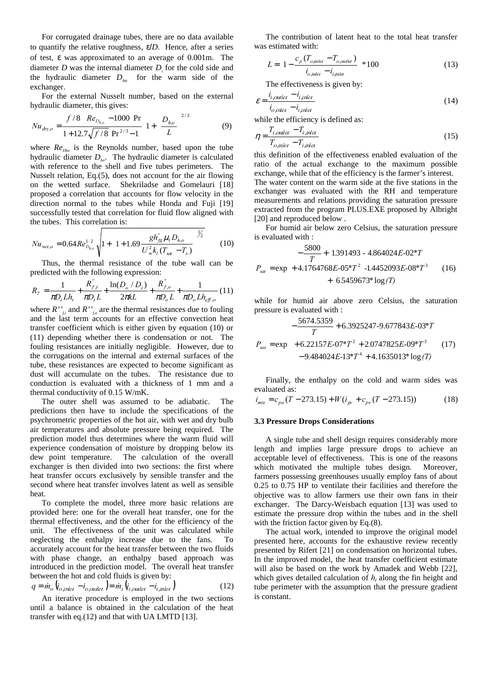For corrugated drainage tubes, there are no data available to quantify the relative roughness, ε/*D*. Hence, after a series of test, ε was approximated to an average of 0.001m. The diameter  $D$  was the internal diameter  $D_i$  for the cold side and the hydraulic diameter  $D_{ho}$  for the warm side of the exchanger.

For the external Nusselt number, based on the external hydraulic diameter, this gives:

$$
Nu_{\text{dry},o} = \frac{(f/8)(Re_{D_{h,o}} - 1000)Pr}{1 + 12.7\sqrt{f/8}(Pr^{2/3} - 1)} \left[1 + \left(\frac{D_{h,o}}{L}\right)^{2/3}\right]
$$
(9)

where  $Re_{\rho_{b_0}}$  is the Reynolds number, based upon the tube hydraulic diameter  $D_{ho}$ . The hydraulic diameter is calculated with reference to the shell and five tubes perimeters. The Nusselt relation, Eq.(5), does not account for the air flowing on the wetted surface. Shekriladse and Gomelauri [18] proposed a correlation that accounts for flow velocity in the direction normal to the tubes while Honda and Fuji [19] successfully tested that correlation for fluid flow aligned with the tubes. This correlation is:

$$
Nu_{wet,o} = 0.64Re_{D_{h,o}}^{1/2}\sqrt{1 + \left(1 + 1.69\frac{g h'_{fg} \mu_l D_{h,o}}{U_{\infty}^2 k_I (T_{sat} - T_s)}\right)^{1/2}}
$$
(10)

Thus, the thermal resistance of the tube wall can be predicted with the following expression:

$$
R_T = \frac{1}{\pi D_i L h_i} + \frac{R_{f,i}^{\dagger}}{\pi D_i L} + \frac{\ln(D_o / D_i)}{2 \pi k L} + \frac{R_{f,o}^{\dagger}}{\pi D_o L} + \frac{1}{\pi D_o L h_{efo}} (11)
$$

where  $R''_{fi}$  and  $R''_{fo}$  are the thermal resistances due to fouling and the last term accounts for an effective convection heat transfer coefficient which is either given by equation (10) or (11) depending whether there is condensation or not. The fouling resistances are initially negligible. However, due to the corrugations on the internal and external surfaces of the tube, these resistances are expected to become significant as dust will accumulate on the tubes. The resistance due to conduction is evaluated with a thickness of 1 mm and a thermal conductivity of 0.15 W/mK.

The outer shell was assumed to be adiabatic. The predictions then have to include the specifications of the psychrometric properties of the hot air, with wet and dry bulb air temperatures and absolute pressure being required. The prediction model thus determines where the warm fluid will experience condensation of moisture by dropping below its dew point temperature. The calculation of the overall exchanger is then divided into two sections: the first where heat transfer occurs exclusively by sensible transfer and the second where heat transfer involves latent as well as sensible heat.

To complete the model, three more basic relations are provided here: one for the overall heat transfer, one for the thermal effectiveness, and the other for the efficiency of the unit. The effectiveness of the unit was calculated while neglecting the enthalpy increase due to the fans. To accurately account for the heat transfer between the two fluids with phase change, an enthalpy based approach was introduced in the prediction model. The overall heat transfer between the hot and cold fluids is given by:

$$
q = \dot{m}_o \left( i_{o, inlet} - i_{o, outlet} \right) = \dot{m}_i \left( i_{i,outlet} - i_{i,inlet} \right)
$$
 (12)

An iterative procedure is employed in the two sections until a balance is obtained in the calculation of the heat transfer with eq.(12) and that with UA LMTD [13].

The contribution of latent heat to the total heat transfer was estimated with:

$$
L = \left[1 - \frac{c_p (T_{o, inlet} - T_{o, outlet})}{i_{o, inlet} - i_{i, inlet}}\right] * 100
$$
 (13)

The effectiveness is given by:

$$
\varepsilon = \frac{i_{i,outlet} - i_{i,inlet}}{i_{o,inlet} - i_{i,inlet}}
$$
(14)

while the efficiency is defined as:

$$
\eta = \frac{T_{i,outlet} - T_{i,inlet}}{T_{o,inlet} - T_{i,inlet}}
$$
\n(15)

this definition of the effectiveness enabled evaluation of the ratio of the actual exchange to the maximum possible exchange, while that of the efficiency is the farmer's interest. The water content on the warm side at the five stations in the exchanger was evaluated with the RH and temperature measurements and relations providing the saturation pressure extracted from the program PLUS.EXE proposed by Albright [20] and reproduced below.

For humid air below zero Celsius, the saturation pressure is evaluated with :

$$
P_{sat} = \exp\left(-\frac{5800}{T} + 1.391493 - 4.864024E - 02*T + 4.1764768E - 05*T^2 - 1.4452093E - 08*T^3 + 6.5459673* \log(T)\right)
$$
(16)

while for humid air above zero Celsius, the saturation pressure is evaluated with :

$$
P_{sat} = \exp\left(-\frac{5674.5359}{T} + 6.3925247 - 9.677843E - 03*T + 6.22157E - 07*T^2 + 2.0747825E - 09*T^3 - 9.484024E - 13*T^4 + 4.1635013* \log(T)\right)
$$
(17)

Finally, the enthalpy on the cold and warm sides was evaluated as:

$$
i_{mix} = c_{pa}(T - 273.15) + W(i_{gv} + c_{pv}(T - 273.15))
$$
 (18)

#### **3.3 Pressure Drops Considerations**

A single tube and shell design requires considerably more length and implies large pressure drops to achieve an acceptable level of effectiveness. This is one of the reasons which motivated the multiple tubes design. Moreover, farmers possessing greenhouses usually employ fans of about 0.25 to 0.75 HP to ventilate their facilities and therefore the objective was to allow farmers use their own fans in their exchanger. The Darcy-Weisbach equation [13] was used to estimate the pressure drop within the tubes and in the shell with the friction factor given by Eq.(8).

The actual work, intended to improve the original model presented here, accounts for the exhaustive review recently presented by Rifert [21] on condensation on horizontal tubes. In the improved model, the heat transfer coefficient estimate will also be based on the work by Amadek and Webb [22], which gives detailed calculation of  $h_i$  along the fin height and tube perimeter with the assumption that the pressure gradient is constant.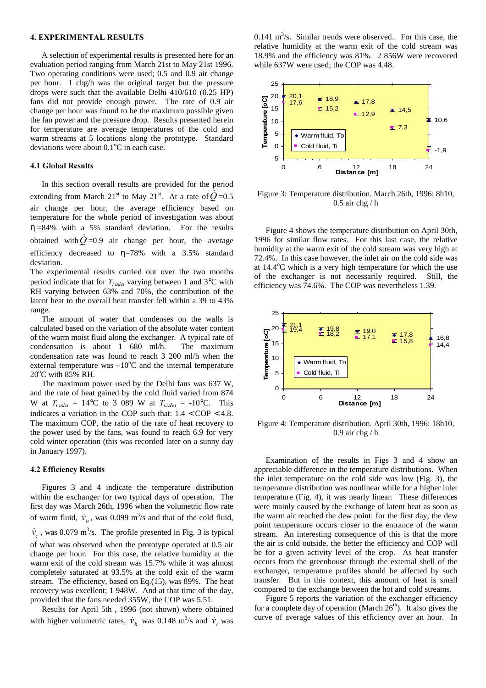#### 4. EXPERIMENTAL RESULTS

A selection of experimental results is presented here for an evaluation period ranging from March 21st to May 21st 1996. Two operating conditions were used; 0.5 and 0.9 air change per hour. 1 chg/h was the original target but the pressure drops were such that the available Delhi 410/610 (0.25 HP) fans did not provide enough power. The rate of 0.9 air change per hour was found to be the maximum possible given the fan power and the pressure drop. Results presented herein for temperature are average temperatures of the cold and warm streams at 5 locations along the prototype. Standard deviations were about  $0.1^{\circ}$ C in each case.

### 4.1 Global Results

In this section overall results are provided for the period extending from March 21<sup>st</sup> to May 21<sup>st</sup>. At a rate of  $Q = 0.5$ air change per hour, the average efficiency based on temperature for the whole period of investigation was about  $\eta = 84\%$  with a 5% standard deviation. For the results obtained with  $Q=0.9$  air change per hour, the average efficiency decreased to  $\eta = 78\%$  with a 3.5% standard deviation.

The experimental results carried out over the two months period indicate that for  $T_{l,mlet}$  varying between 1 and 3°C with RH varying between 63% and 70%, the contribution of the latent heat to the overall heat transfer fell within a 39 to 43% range.

The amount of water that condenses on the walls is calculated based on the variation of the absolute water content of the warm moist fluid along the exchanger. A typical rate of condensation is about 1 680 ml/h. The maximum condensation rate was found to reach 3 200 ml/h when the external temperature was  $-10^{\circ}$ C and the internal temperature  $20^{\circ}$ C with  $85\%$  RH.

The maximum power used by the Delhi fans was 637 W, and the rate of heat gained by the cold fluid varied from 874 W at  $T_{i,inel} = 14^{\circ}\text{C}$  to 3 089 W at  $T_{i,inel} = -10^{\circ}\text{C}$ . This indicates a variation in the COP such that:  $1.4 <$  COP  $<$  4.8. The maximum COP, the ratio of the rate of heat recovery to the power used by the fans, was found to reach 6.9 for very cold winter operation (this was recorded later on a sunny day in January 1997).

#### 4.2 Efficiency Results

Figures 3 and 4 indicate the temperature distribution within the exchanger for two typical days of operation. The first day was March 26th, 1996 when the volumetric flow rate of warm fluid,  $\dot{v}_h$ , was 0.099 m<sup>3</sup>/s and that of the cold fluid,  $\dot{v}_c$ , was 0.079 m<sup>3</sup>/s. The profile presented in Fig. 3 is typical of what was observed when the prototype operated at 0.5 air change per hour. For this case, the relative humidity at the warm exit of the cold stream was 15.7% while it was almost completely saturated at 93.5% at the cold exit of the warm stream. The efficiency, based on Eq.(15), was 89%. The heat recovery was excellent; 1 948W. And at that time of the day, provided that the fans needed 355W, the COP was 5.51.

Results for April 5th , 1996 (not shown) where obtained with higher volumetric rates,  $\dot{v}_h$  was 0.148 m<sup>3</sup>/s and  $\dot{v}_c$  was

0.141  $\text{m}^3$ /s. Similar trends were observed.. For this case, the relative humidity at the warm exit of the cold stream was 18.9% and the efficiency was 81%. 2 856W were recovered while 637W were used; the COP was 4.48.



Figure 3: Temperature distribution. March 26th, 1996: 8h10,  $0.5$  air chg / h

Figure 4 shows the temperature distribution on April 30th, 1996 for similar flow rates. For this last case, the relative humidity at the warm exit of the cold stream was very high at 72.4%. In this case however, the inlet air on the cold side was at  $14.4^{\circ}$ C which is a very high temperature for which the use of the exchanger is not necessarily required. Still, the efficiency was 74.6%. The COP was nevertheless 1.39.



Figure 4: Temperature distribution. April 30th, 1996: 18h10, 0.9 air chg / h

Examination of the results in Figs 3 and 4 show an appreciable difference in the temperature distributions. When the inlet temperature on the cold side was low (Fig. 3), the temperature distribution was nonlinear while for a higher inlet temperature (Fig. 4), it was nearly linear. These differences were mainly caused by the exchange of latent heat as soon as the warm air reached the dew point: for the first day, the dew point temperature occurs closer to the entrance of the warm stream. An interesting consequence of this is that the more the air is cold outside, the better the efficiency and COP will be for a given activity level of the crop. As heat transfer occurs from the greenhouse through the external shell of the exchanger, temperature profiles should be affected by such transfer. But in this context, this amount of heat is small compared to the exchange between the hot and cold streams.

Figure 5 reports the variation of the exchanger efficiency for a complete day of operation (March  $26<sup>th</sup>$ ). It also gives the curve of average values of this efficiency over an hour. In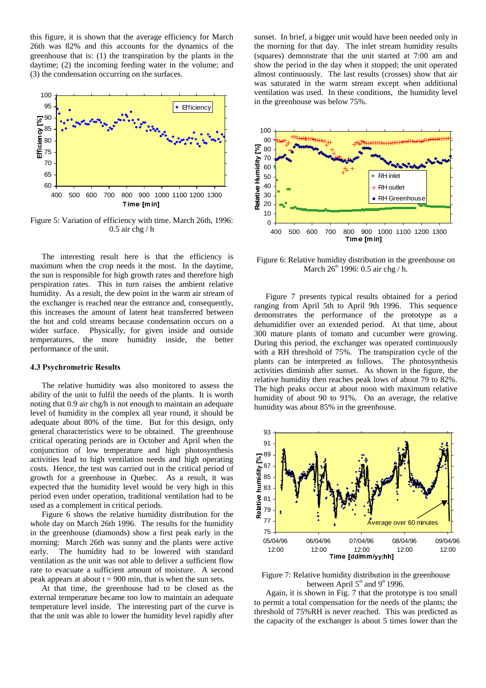this figure, it is shown that the average efficiency for March 26th was 82% and this accounts for the dynamics of the greenhouse that is: (1) the transpiration by the plants in the daytime; (2) the incoming feeding water in the volume; and (3) the condensation occurring on the surfaces.



Figure 5: Variation of efficiency with time. March 26th, 1996: 0.5 air chg / h

The interesting result here is that the efficiency is maximum when the crop needs it the most. In the daytime, the sun is responsible for high growth rates and therefore high perspiration rates. This in turn raises the ambient relative humidity. As a result, the dew point in the warm air stream of the exchanger is reached near the entrance and, consequently, this increases the amount of latent heat transferred between the hot and cold streams because condensation occurs on a wider surface. Physically, for given inside and outside temperatures, the more humidity inside, the better performance of the unit.

#### 4.3 Psychrometric Results

The relative humidity was also monitored to assess the ability of the unit to fulfil the needs of the plants. It is worth noting that 0.9 air chg/h is not enough to maintain an adequate level of humidity in the complex all year round, it should be adequate about 80% of the time. But for this design, only general characteristics were to be obtained. The greenhouse critical operating periods are in October and April when the conjunction of low temperature and high photosynthesis activities lead to high ventilation needs and high operating costs. Hence, the test was carried out in the critical period of growth for a greenhouse in Quebec. As a result, it was expected that the humidity level would be very high in this period even under operation, traditional ventilation had to be used as a complement in critical periods.

Figure 6 shows the relative humidity distribution for the whole day on March 26th 1996. The results for the humidity in the greenhouse (diamonds) show a first peak early in the morning: March 26th was sunny and the plants were active early. The humidity had to be lowered with standard ventilation as the unit was not able to deliver a sufficient flow rate to evacuate a sufficient amount of moisture. A second peak appears at about  $t = 900$  min, that is when the sun sets.

At that time, the greenhouse had to be closed as the external temperature became too low to maintain an adequate temperature level inside. The interesting part of the curve is that the unit was able to lower the humidity level rapidly after sunset. In brief, a bigger unit would have been needed only in the morning for that day. The inlet stream humidity results (squares) demonstrate that the unit started at 7:00 am and show the period in the day when it stopped; the unit operated almost continuously. The last results (crosses) show that air was saturated in the warm stream except when additional ventilation was used. In these conditions, the humidity level in the greenhouse was below 75%.



Figure 6: Relative humidity distribution in the greenhouse on March  $26<sup>th</sup>$  1996: 0.5 air chg / h.

Figure 7 presents typical results obtained for a period ranging from April 5th to April 9th 1996. This sequence demonstrates the performance of the prototype as a dehumidifier over an extended period. At that time, about 300 mature plants of tomato and cucumber were growing. During this period, the exchanger was operated continuously with a RH threshold of 75%. The transpiration cycle of the plants can be interpreted as follows. The photosynthesis activities diminish after sunset. As shown in the figure, the relative humidity then reaches peak lows of about 79 to 82%. The high peaks occur at about noon with maximum relative humidity of about 90 to 91%. On an average, the relative humidity was about 85% in the greenhouse.



Figure 7: Relative humidity distribution in the greenhouse between April  $5<sup>th</sup>$  and  $9<sup>th</sup>$  1996.

Again, it is shown in Fig. 7 that the prototype is too small to permit a total compensation for the needs of the plants; the threshold of 75%RH is never reached. This was predicted as the capacity of the exchanger is about 5 times lower than the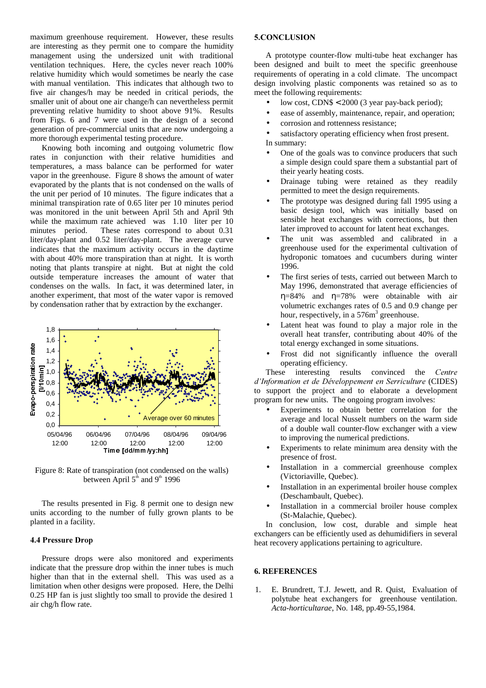maximum greenhouse requirement. However, these results are interesting as they permit one to compare the humidity management using the undersized unit with traditional ventilation techniques. Here, the cycles never reach 100% relative humidity which would sometimes be nearly the case with manual ventilation. This indicates that although two to five air changes/h may be needed in critical periods, the smaller unit of about one air change/h can nevertheless permit preventing relative humidity to shoot above 91%. Results from Figs. 6 and 7 were used in the design of a second generation of pre-commercial units that are now undergoing a more thorough experimental testing procedure.

Knowing both incoming and outgoing volumetric flow rates in conjunction with their relative humidities and temperatures, a mass balance can be performed for water vapor in the greenhouse. Figure 8 shows the amount of water evaporated by the plants that is not condensed on the walls of the unit per period of 10 minutes. The figure indicates that a minimal transpiration rate of 0.65 liter per 10 minutes period was monitored in the unit between April 5th and April 9th while the maximum rate achieved was 1.10 liter per 10 minutes period. These rates correspond to about 0.31 liter/day-plant and 0.52 liter/day-plant. The average curve indicates that the maximum activity occurs in the daytime with about 40% more transpiration than at night. It is worth noting that plants transpire at night. But at night the cold outside temperature increases the amount of water that condenses on the walls. In fact, it was determined later, in another experiment, that most of the water vapor is removed by condensation rather that by extraction by the exchanger.



Figure 8: Rate of transpiration (not condensed on the walls) between April  $5<sup>th</sup>$  and  $9<sup>th</sup>$  1996

The results presented in Fig. 8 permit one to design new units according to the number of fully grown plants to be planted in a facility.

# 4.4 Pressure Drop

Pressure drops were also monitored and experiments indicate that the pressure drop within the inner tubes is much higher than that in the external shell. This was used as a limitation when other designs were proposed. Here, the Delhi 0.25 HP fan is just slightly too small to provide the desired 1 air chg/h flow rate.

### 5.CONCLUSION

A prototype counter-flow multi-tube heat exchanger has been designed and built to meet the specific greenhouse requirements of operating in a cold climate. The uncompact design involving plastic components was retained so as to meet the following requirements:

- low cost, CDN\$ < 2000 (3 year pay-back period);
- ease of assembly, maintenance, repair, and operation;
- corrosion and rottenness resistance;

satisfactory operating efficiency when frost present. In summary:

- One of the goals was to convince producers that such a simple design could spare them a substantial part of their yearly heating costs.
- Drainage tubing were retained as they readily permitted to meet the design requirements.
- The prototype was designed during fall 1995 using a basic design tool, which was initially based on sensible heat exchanges with corrections, but then later improved to account for latent heat exchanges.
- The unit was assembled and calibrated in a greenhouse used for the experimental cultivation of hydroponic tomatoes and cucumbers during winter 1996.
- The first series of tests, carried out between March to May 1996, demonstrated that average efficiencies of η=84% and η=78% were obtainable with air volumetric exchanges rates of 0.5 and 0.9 change per hour, respectively, in a  $576m<sup>3</sup>$  greenhouse.
- Latent heat was found to play a major role in the overall heat transfer, contributing about 40% of the total energy exchanged in some situations.
- Frost did not significantly influence the overall operating efficiency.

These interesting results convinced the *Centre d'Information et de Développement en Serriculture* (CIDES) to support the project and to elaborate a development program for new units. The ongoing program involves:

- Experiments to obtain better correlation for the average and local Nusselt numbers on the warm side of a double wall counter-flow exchanger with a view to improving the numerical predictions.
- Experiments to relate minimum area density with the presence of frost.
- Installation in a commercial greenhouse complex (Victoriaville, Quebec).
- Installation in an experimental broiler house complex (Deschambault, Quebec).
- Installation in a commercial broiler house complex (St-Malachie, Quebec).

In conclusion, low cost, durable and simple heat exchangers can be efficiently used as dehumidifiers in several heat recovery applications pertaining to agriculture.

# **6. REFERENCES**

1. E. Brundrett, T.J. Jewett, and R. Quist, Evaluation of polytube heat exchangers for greenhouse ventilation. *Acta-horticultarae*, No. 148, pp.49-55,1984.